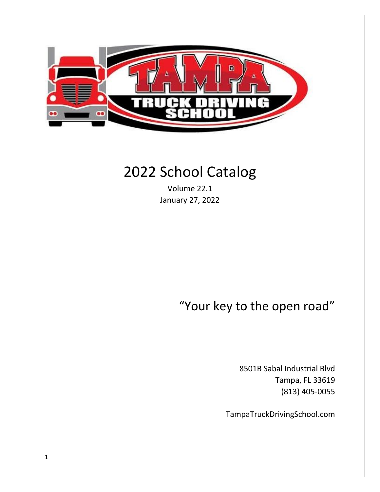

# 2022 School Catalog

Volume 22.1 January 27, 2022

# "Your key to the open road"

8501B Sabal Industrial Blvd Tampa, FL 33619 (813) 405-0055

TampaTruckDrivingSchool.com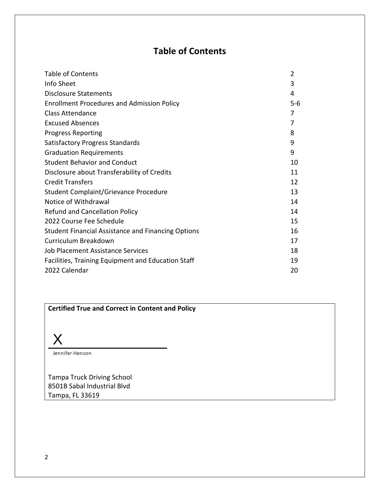# **Table of Contents**

| <b>Table of Contents</b>                                  | 2     |
|-----------------------------------------------------------|-------|
| Info Sheet                                                | 3     |
| <b>Disclosure Statements</b>                              | 4     |
| <b>Enrollment Procedures and Admission Policy</b>         | $5-6$ |
| Class Attendance                                          | 7     |
| <b>Excused Absences</b>                                   | 7     |
| <b>Progress Reporting</b>                                 | 8     |
| Satisfactory Progress Standards                           | 9     |
| <b>Graduation Requirements</b>                            | 9     |
| <b>Student Behavior and Conduct</b>                       | 10    |
| Disclosure about Transferability of Credits               | 11    |
| <b>Credit Transfers</b>                                   | 12    |
| Student Complaint/Grievance Procedure                     | 13    |
| Notice of Withdrawal                                      | 14    |
| <b>Refund and Cancellation Policy</b>                     | 14    |
| 2022 Course Fee Schedule                                  | 15    |
| <b>Student Financial Assistance and Financing Options</b> | 16    |
| Curriculum Breakdown                                      | 17    |
| Job Placement Assistance Services                         | 18    |
| Facilities, Training Equipment and Education Staff        | 19    |
| 2022 Calendar                                             | 20    |

# **Certified True and Correct in Content and Policy**

X

Jennifer Henson

Tampa Truck Driving School 8501B Sabal Industrial Blvd Tampa, FL 33619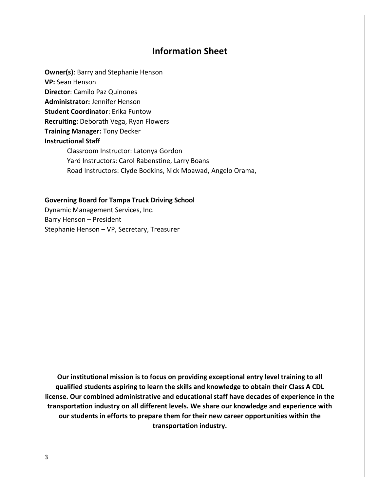#### **Information Sheet**

**Owner(s)**: Barry and Stephanie Henson **VP:** Sean Henson **Director**: Camilo Paz Quinones **Administrator:** Jennifer Henson **Student Coordinator**: Erika Funtow **Recruiting:** Deborath Vega, Ryan Flowers **Training Manager:** Tony Decker **Instructional Staff** Classroom Instructor: Latonya Gordon Yard Instructors: Carol Rabenstine, Larry Boans Road Instructors: Clyde Bodkins, Nick Moawad, Angelo Orama,

#### **Governing Board for Tampa Truck Driving School**

Dynamic Management Services, Inc. Barry Henson – President Stephanie Henson – VP, Secretary, Treasurer

**Our institutional mission is to focus on providing exceptional entry level training to all qualified students aspiring to learn the skills and knowledge to obtain their Class A CDL license. Our combined administrative and educational staff have decades of experience in the transportation industry on all different levels. We share our knowledge and experience with our students in efforts to prepare them for their new career opportunities within the transportation industry.**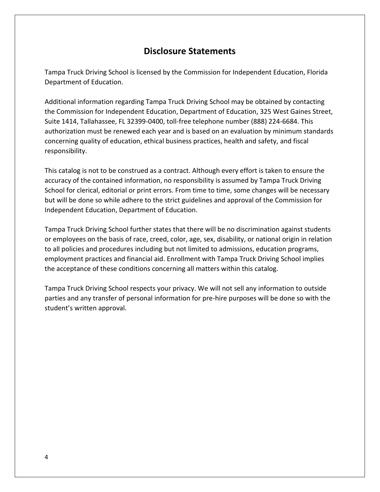#### **Disclosure Statements**

Tampa Truck Driving School is licensed by the Commission for Independent Education, Florida Department of Education.

Additional information regarding Tampa Truck Driving School may be obtained by contacting the Commission for Independent Education, Department of Education, 325 West Gaines Street, Suite 1414, Tallahassee, FL 32399-0400, toll-free telephone number (888) 224-6684. This authorization must be renewed each year and is based on an evaluation by minimum standards concerning quality of education, ethical business practices, health and safety, and fiscal responsibility.

This catalog is not to be construed as a contract. Although every effort is taken to ensure the accuracy of the contained information, no responsibility is assumed by Tampa Truck Driving School for clerical, editorial or print errors. From time to time, some changes will be necessary but will be done so while adhere to the strict guidelines and approval of the Commission for Independent Education, Department of Education.

Tampa Truck Driving School further states that there will be no discrimination against students or employees on the basis of race, creed, color, age, sex, disability, or national origin in relation to all policies and procedures including but not limited to admissions, education programs, employment practices and financial aid. Enrollment with Tampa Truck Driving School implies the acceptance of these conditions concerning all matters within this catalog.

Tampa Truck Driving School respects your privacy. We will not sell any information to outside parties and any transfer of personal information for pre-hire purposes will be done so with the student's written approval.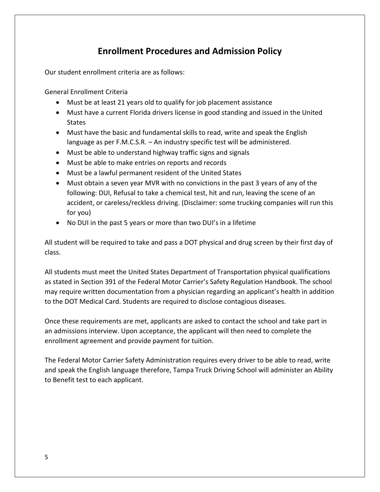#### **Enrollment Procedures and Admission Policy**

Our student enrollment criteria are as follows:

General Enrollment Criteria

- Must be at least 21 years old to qualify for job placement assistance
- Must have a current Florida drivers license in good standing and issued in the United **States**
- Must have the basic and fundamental skills to read, write and speak the English language as per F.M.C.S.R. – An industry specific test will be administered.
- Must be able to understand highway traffic signs and signals
- Must be able to make entries on reports and records
- Must be a lawful permanent resident of the United States
- Must obtain a seven year MVR with no convictions in the past 3 years of any of the following: DUI, Refusal to take a chemical test, hit and run, leaving the scene of an accident, or careless/reckless driving. (Disclaimer: some trucking companies will run this for you)
- No DUI in the past 5 years or more than two DUI's in a lifetime

All student will be required to take and pass a DOT physical and drug screen by their first day of class.

All students must meet the United States Department of Transportation physical qualifications as stated in Section 391 of the Federal Motor Carrier's Safety Regulation Handbook. The school may require written documentation from a physician regarding an applicant's health in addition to the DOT Medical Card. Students are required to disclose contagious diseases.

Once these requirements are met, applicants are asked to contact the school and take part in an admissions interview. Upon acceptance, the applicant will then need to complete the enrollment agreement and provide payment for tuition.

The Federal Motor Carrier Safety Administration requires every driver to be able to read, write and speak the English language therefore, Tampa Truck Driving School will administer an Ability to Benefit test to each applicant.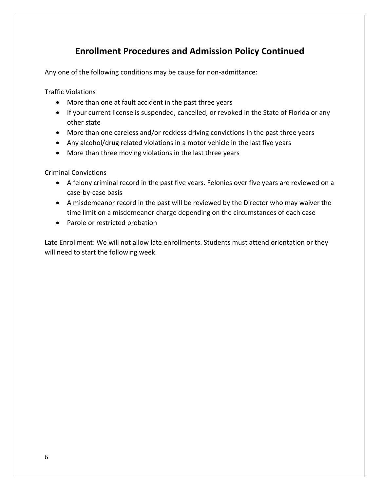### **Enrollment Procedures and Admission Policy Continued**

Any one of the following conditions may be cause for non-admittance:

Traffic Violations

- More than one at fault accident in the past three years
- If your current license is suspended, cancelled, or revoked in the State of Florida or any other state
- More than one careless and/or reckless driving convictions in the past three years
- Any alcohol/drug related violations in a motor vehicle in the last five years
- More than three moving violations in the last three years

Criminal Convictions

- A felony criminal record in the past five years. Felonies over five years are reviewed on a case-by-case basis
- A misdemeanor record in the past will be reviewed by the Director who may waiver the time limit on a misdemeanor charge depending on the circumstances of each case
- Parole or restricted probation

Late Enrollment: We will not allow late enrollments. Students must attend orientation or they will need to start the following week.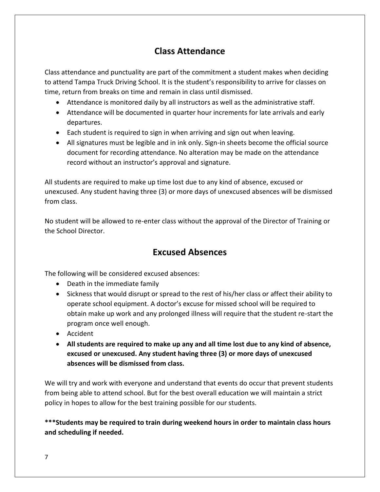#### **Class Attendance**

Class attendance and punctuality are part of the commitment a student makes when deciding to attend Tampa Truck Driving School. It is the student's responsibility to arrive for classes on time, return from breaks on time and remain in class until dismissed.

- Attendance is monitored daily by all instructors as well as the administrative staff.
- Attendance will be documented in quarter hour increments for late arrivals and early departures.
- Each student is required to sign in when arriving and sign out when leaving.
- All signatures must be legible and in ink only. Sign-in sheets become the official source document for recording attendance. No alteration may be made on the attendance record without an instructor's approval and signature.

All students are required to make up time lost due to any kind of absence, excused or unexcused. Any student having three (3) or more days of unexcused absences will be dismissed from class.

No student will be allowed to re-enter class without the approval of the Director of Training or the School Director.

### **Excused Absences**

The following will be considered excused absences:

- Death in the immediate family
- Sickness that would disrupt or spread to the rest of his/her class or affect their ability to operate school equipment. A doctor's excuse for missed school will be required to obtain make up work and any prolonged illness will require that the student re-start the program once well enough.
- Accident
- **All students are required to make up any and all time lost due to any kind of absence, excused or unexcused. Any student having three (3) or more days of unexcused absences will be dismissed from class.**

We will try and work with everyone and understand that events do occur that prevent students from being able to attend school. But for the best overall education we will maintain a strict policy in hopes to allow for the best training possible for our students.

**\*\*\*Students may be required to train during weekend hours in order to maintain class hours and scheduling if needed.**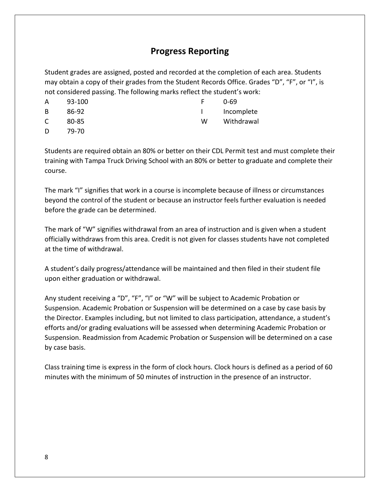#### **Progress Reporting**

Student grades are assigned, posted and recorded at the completion of each area. Students may obtain a copy of their grades from the Student Records Office. Grades "D", "F", or "I", is not considered passing. The following marks reflect the student's work:

| A  | 93-100 | н. | $0 - 69$   |
|----|--------|----|------------|
| B. | 86-92  |    | Incomplete |
| C  | 80-85  | W. | Withdrawal |

D 79-70

Students are required obtain an 80% or better on their CDL Permit test and must complete their training with Tampa Truck Driving School with an 80% or better to graduate and complete their course.

The mark "I" signifies that work in a course is incomplete because of illness or circumstances beyond the control of the student or because an instructor feels further evaluation is needed before the grade can be determined.

The mark of "W" signifies withdrawal from an area of instruction and is given when a student officially withdraws from this area. Credit is not given for classes students have not completed at the time of withdrawal.

A student's daily progress/attendance will be maintained and then filed in their student file upon either graduation or withdrawal.

Any student receiving a "D", "F", "I" or "W" will be subject to Academic Probation or Suspension. Academic Probation or Suspension will be determined on a case by case basis by the Director. Examples including, but not limited to class participation, attendance, a student's efforts and/or grading evaluations will be assessed when determining Academic Probation or Suspension. Readmission from Academic Probation or Suspension will be determined on a case by case basis.

Class training time is express in the form of clock hours. Clock hours is defined as a period of 60 minutes with the minimum of 50 minutes of instruction in the presence of an instructor.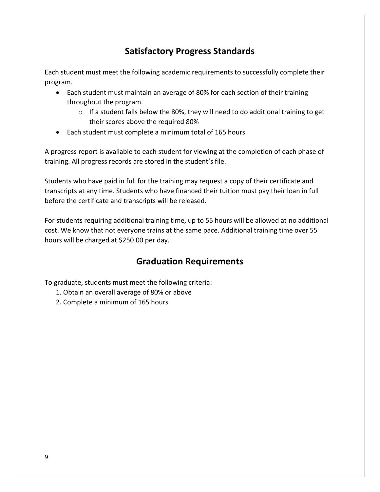## **Satisfactory Progress Standards**

Each student must meet the following academic requirements to successfully complete their program.

- Each student must maintain an average of 80% for each section of their training throughout the program.
	- $\circ$  If a student falls below the 80%, they will need to do additional training to get their scores above the required 80%
- Each student must complete a minimum total of 165 hours

A progress report is available to each student for viewing at the completion of each phase of training. All progress records are stored in the student's file.

Students who have paid in full for the training may request a copy of their certificate and transcripts at any time. Students who have financed their tuition must pay their loan in full before the certificate and transcripts will be released.

For students requiring additional training time, up to 55 hours will be allowed at no additional cost. We know that not everyone trains at the same pace. Additional training time over 55 hours will be charged at \$250.00 per day.

### **Graduation Requirements**

To graduate, students must meet the following criteria:

- 1. Obtain an overall average of 80% or above
- 2. Complete a minimum of 165 hours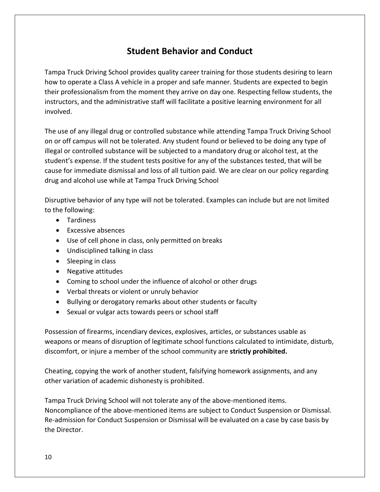#### **Student Behavior and Conduct**

Tampa Truck Driving School provides quality career training for those students desiring to learn how to operate a Class A vehicle in a proper and safe manner. Students are expected to begin their professionalism from the moment they arrive on day one. Respecting fellow students, the instructors, and the administrative staff will facilitate a positive learning environment for all involved.

The use of any illegal drug or controlled substance while attending Tampa Truck Driving School on or off campus will not be tolerated. Any student found or believed to be doing any type of illegal or controlled substance will be subjected to a mandatory drug or alcohol test, at the student's expense. If the student tests positive for any of the substances tested, that will be cause for immediate dismissal and loss of all tuition paid. We are clear on our policy regarding drug and alcohol use while at Tampa Truck Driving School

Disruptive behavior of any type will not be tolerated. Examples can include but are not limited to the following:

- Tardiness
- Excessive absences
- Use of cell phone in class, only permitted on breaks
- Undisciplined talking in class
- Sleeping in class
- Negative attitudes
- Coming to school under the influence of alcohol or other drugs
- Verbal threats or violent or unruly behavior
- Bullying or derogatory remarks about other students or faculty
- Sexual or vulgar acts towards peers or school staff

Possession of firearms, incendiary devices, explosives, articles, or substances usable as weapons or means of disruption of legitimate school functions calculated to intimidate, disturb, discomfort, or injure a member of the school community are **strictly prohibited.**

Cheating, copying the work of another student, falsifying homework assignments, and any other variation of academic dishonesty is prohibited.

Tampa Truck Driving School will not tolerate any of the above-mentioned items. Noncompliance of the above-mentioned items are subject to Conduct Suspension or Dismissal. Re-admission for Conduct Suspension or Dismissal will be evaluated on a case by case basis by the Director.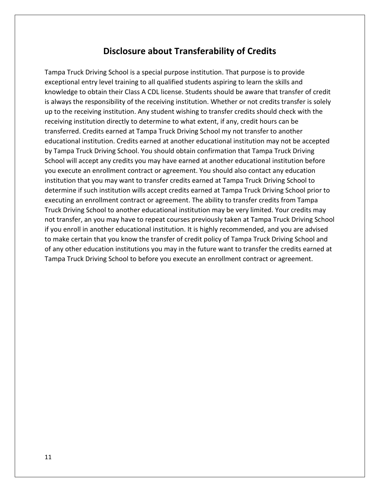#### **Disclosure about Transferability of Credits**

Tampa Truck Driving School is a special purpose institution. That purpose is to provide exceptional entry level training to all qualified students aspiring to learn the skills and knowledge to obtain their Class A CDL license. Students should be aware that transfer of credit is always the responsibility of the receiving institution. Whether or not credits transfer is solely up to the receiving institution. Any student wishing to transfer credits should check with the receiving institution directly to determine to what extent, if any, credit hours can be transferred. Credits earned at Tampa Truck Driving School my not transfer to another educational institution. Credits earned at another educational institution may not be accepted by Tampa Truck Driving School. You should obtain confirmation that Tampa Truck Driving School will accept any credits you may have earned at another educational institution before you execute an enrollment contract or agreement. You should also contact any education institution that you may want to transfer credits earned at Tampa Truck Driving School to determine if such institution wills accept credits earned at Tampa Truck Driving School prior to executing an enrollment contract or agreement. The ability to transfer credits from Tampa Truck Driving School to another educational institution may be very limited. Your credits may not transfer, an you may have to repeat courses previously taken at Tampa Truck Driving School if you enroll in another educational institution. It is highly recommended, and you are advised to make certain that you know the transfer of credit policy of Tampa Truck Driving School and of any other education institutions you may in the future want to transfer the credits earned at Tampa Truck Driving School to before you execute an enrollment contract or agreement.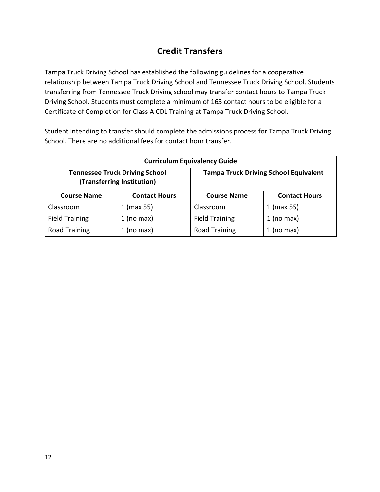## **Credit Transfers**

Tampa Truck Driving School has established the following guidelines for a cooperative relationship between Tampa Truck Driving School and Tennessee Truck Driving School. Students transferring from Tennessee Truck Driving school may transfer contact hours to Tampa Truck Driving School. Students must complete a minimum of 165 contact hours to be eligible for a Certificate of Completion for Class A CDL Training at Tampa Truck Driving School.

Student intending to transfer should complete the admissions process for Tampa Truck Driving School. There are no additional fees for contact hour transfer.

| <b>Curriculum Equivalency Guide</b> |                                                                     |                       |                                              |  |  |  |  |  |  |  |  |
|-------------------------------------|---------------------------------------------------------------------|-----------------------|----------------------------------------------|--|--|--|--|--|--|--|--|
|                                     | <b>Tennessee Truck Driving School</b><br>(Transferring Institution) |                       | <b>Tampa Truck Driving School Equivalent</b> |  |  |  |  |  |  |  |  |
| <b>Course Name</b>                  | <b>Contact Hours</b>                                                | <b>Course Name</b>    | <b>Contact Hours</b>                         |  |  |  |  |  |  |  |  |
| Classroom                           | $1$ (max 55)                                                        | Classroom             | $1$ (max 55)                                 |  |  |  |  |  |  |  |  |
| <b>Field Training</b>               | $1$ (no max)                                                        | <b>Field Training</b> | $1$ (no max)                                 |  |  |  |  |  |  |  |  |
| <b>Road Training</b>                | $1$ (no max)                                                        | <b>Road Training</b>  | $1$ (no max)                                 |  |  |  |  |  |  |  |  |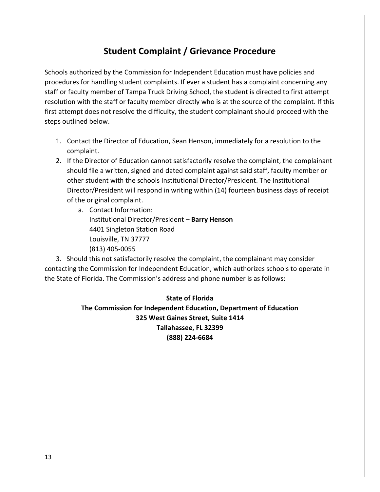#### **Student Complaint / Grievance Procedure**

Schools authorized by the Commission for Independent Education must have policies and procedures for handling student complaints. If ever a student has a complaint concerning any staff or faculty member of Tampa Truck Driving School, the student is directed to first attempt resolution with the staff or faculty member directly who is at the source of the complaint. If this first attempt does not resolve the difficulty, the student complainant should proceed with the steps outlined below.

- 1. Contact the Director of Education, Sean Henson, immediately for a resolution to the complaint.
- 2. If the Director of Education cannot satisfactorily resolve the complaint, the complainant should file a written, signed and dated complaint against said staff, faculty member or other student with the schools Institutional Director/President. The Institutional Director/President will respond in writing within (14) fourteen business days of receipt of the original complaint.
	- a. Contact Information: Institutional Director/President – **Barry Henson** 4401 Singleton Station Road Louisville, TN 37777 (813) 405-0055

3. Should this not satisfactorily resolve the complaint, the complainant may consider contacting the Commission for Independent Education, which authorizes schools to operate in the State of Florida. The Commission's address and phone number is as follows:

> **State of Florida The Commission for Independent Education, Department of Education 325 West Gaines Street, Suite 1414 Tallahassee, FL 32399 (888) 224-6684**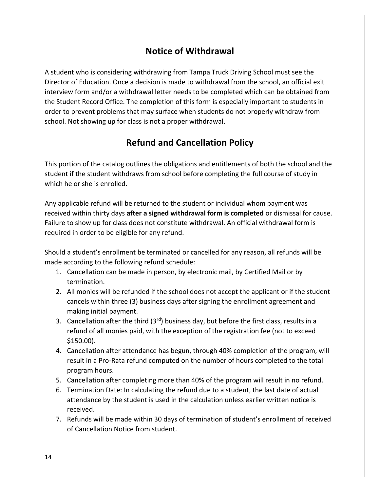#### **Notice of Withdrawal**

A student who is considering withdrawing from Tampa Truck Driving School must see the Director of Education. Once a decision is made to withdrawal from the school, an official exit interview form and/or a withdrawal letter needs to be completed which can be obtained from the Student Record Office. The completion of this form is especially important to students in order to prevent problems that may surface when students do not properly withdraw from school. Not showing up for class is not a proper withdrawal.

#### **Refund and Cancellation Policy**

This portion of the catalog outlines the obligations and entitlements of both the school and the student if the student withdraws from school before completing the full course of study in which he or she is enrolled.

Any applicable refund will be returned to the student or individual whom payment was received within thirty days **after a signed withdrawal form is completed** or dismissal for cause. Failure to show up for class does not constitute withdrawal. An official withdrawal form is required in order to be eligible for any refund.

Should a student's enrollment be terminated or cancelled for any reason, all refunds will be made according to the following refund schedule:

- 1. Cancellation can be made in person, by electronic mail, by Certified Mail or by termination.
- 2. All monies will be refunded if the school does not accept the applicant or if the student cancels within three (3) business days after signing the enrollment agreement and making initial payment.
- 3. Cancellation after the third  $(3<sup>rd</sup>)$  business day, but before the first class, results in a refund of all monies paid, with the exception of the registration fee (not to exceed \$150.00).
- 4. Cancellation after attendance has begun, through 40% completion of the program, will result in a Pro-Rata refund computed on the number of hours completed to the total program hours.
- 5. Cancellation after completing more than 40% of the program will result in no refund.
- 6. Termination Date: In calculating the refund due to a student, the last date of actual attendance by the student is used in the calculation unless earlier written notice is received.
- 7. Refunds will be made within 30 days of termination of student's enrollment of received of Cancellation Notice from student.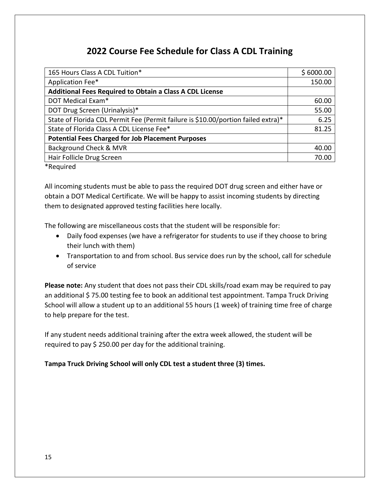#### **2022 Course Fee Schedule for Class A CDL Training**

| 165 Hours Class A CDL Tuition*                                                    | \$6000.00 |
|-----------------------------------------------------------------------------------|-----------|
| Application Fee*                                                                  | 150.00    |
| <b>Additional Fees Required to Obtain a Class A CDL License</b>                   |           |
| DOT Medical Exam*                                                                 | 60.00     |
| DOT Drug Screen (Urinalysis)*                                                     | 55.00     |
| State of Florida CDL Permit Fee (Permit failure is \$10.00/portion failed extra)* | 6.25      |
| State of Florida Class A CDL License Fee*                                         | 81.25     |
| <b>Potential Fees Charged for Job Placement Purposes</b>                          |           |
| Background Check & MVR                                                            | 40.00     |
| Hair Follicle Drug Screen                                                         | 70.00     |

\*Required

All incoming students must be able to pass the required DOT drug screen and either have or obtain a DOT Medical Certificate. We will be happy to assist incoming students by directing them to designated approved testing facilities here locally.

The following are miscellaneous costs that the student will be responsible for:

- Daily food expenses (we have a refrigerator for students to use if they choose to bring their lunch with them)
- Transportation to and from school. Bus service does run by the school, call for schedule of service

**Please note:** Any student that does not pass their CDL skills/road exam may be required to pay an additional \$75.00 testing fee to book an additional test appointment. Tampa Truck Driving School will allow a student up to an additional 55 hours (1 week) of training time free of charge to help prepare for the test.

If any student needs additional training after the extra week allowed, the student will be required to pay \$ 250.00 per day for the additional training.

**Tampa Truck Driving School will only CDL test a student three (3) times.**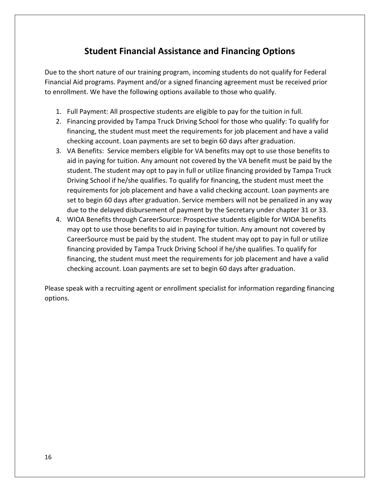#### **Student Financial Assistance and Financing Options**

Due to the short nature of our training program, incoming students do not qualify for Federal Financial Aid programs. Payment and/or a signed financing agreement must be received prior to enrollment. We have the following options available to those who qualify.

- 1. Full Payment: All prospective students are eligible to pay for the tuition in full.
- 2. Financing provided by Tampa Truck Driving School for those who qualify: To qualify for financing, the student must meet the requirements for job placement and have a valid checking account. Loan payments are set to begin 60 days after graduation.
- 3. VA Benefits: Service members eligible for VA benefits may opt to use those benefits to aid in paying for tuition. Any amount not covered by the VA benefit must be paid by the student. The student may opt to pay in full or utilize financing provided by Tampa Truck Driving School if he/she qualifies. To qualify for financing, the student must meet the requirements for job placement and have a valid checking account. Loan payments are set to begin 60 days after graduation. Service members will not be penalized in any way due to the delayed disbursement of payment by the Secretary under chapter 31 or 33.
- 4. WIOA Benefits through CareerSource: Prospective students eligible for WIOA benefits may opt to use those benefits to aid in paying for tuition. Any amount not covered by CareerSource must be paid by the student. The student may opt to pay in full or utilize financing provided by Tampa Truck Driving School if he/she qualifies. To qualify for financing, the student must meet the requirements for job placement and have a valid checking account. Loan payments are set to begin 60 days after graduation.

Please speak with a recruiting agent or enrollment specialist for information regarding financing options.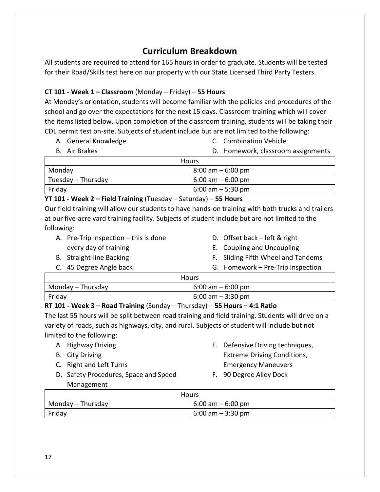## **Curriculum Breakdown**

All students are required to attend for 165 hours in order to graduate. Students will be tested for their Road/Skills test here on our property with our State Licensed Third Party Testers.

#### **CT 101 - Week 1 – Classroom** (Monday – Friday) – **55 Hours**

At Monday's orientation, students will become familiar with the policies and procedures of the school and go over the expectations for the next 15 days. Classroom training which will cover the items listed below. Upon completion of the classroom training, students will be taking their CDL permit test on-site. Subjects of student include but are not limited to the following:

A. General Knowledge C. Combination Vehicle

| B. Air Brakes      | D. Homework, classroom assignments |
|--------------------|------------------------------------|
|                    | <b>Hours</b>                       |
| Monday             | $8:00$ am $-6:00$ pm               |
| Tuesday – Thursday | $6:00$ am $-6:00$ pm               |
| Friday             | $6:00$ am $-5:30$ pm               |

**YT 101 - Week 2 – Field Training** (Tuesday – Saturday) – **55 Hours**

Our field training will allow our students to have hands-on training with both trucks and trailers at our five-acre yard training facility. Subjects of student include but are not limited to the following:

- A. Pre-Trip Inspection this is done every day of training
- D. Offset back left & right
- 
- B. Straight-line Backing
- C. 45 Degree Angle back
- E. Coupling and Uncoupling
- F. Sliding Fifth Wheel and Tandems
- G. Homework Pre-Trip Inspection

| <b>Hours</b>      |                      |  |  |  |  |  |  |  |
|-------------------|----------------------|--|--|--|--|--|--|--|
| Monday – Thursday | $6:00$ am $-6:00$ pm |  |  |  |  |  |  |  |
| Friday            | 6:00 am $-$ 3:30 pm  |  |  |  |  |  |  |  |

**RT 101 - Week 3 – Road Training** (Sunday – Thursday) – **55 Hours – 4:1 Ratio**

The last 55 hours will be split between road training and field training. Students will drive on a variety of roads, such as highways, city, and rural. Subjects of student will include but not limited to the following:

- A. Highway Driving
- B. City Driving
- C. Right and Left Turns
- D. Safety Procedures, Space and Speed Management
- E. Defensive Driving techniques, Extreme Driving Conditions, Emergency Maneuvers
- F. 90 Degree Alley Dock

| <b>Hours</b>      |                      |  |  |  |  |  |  |  |  |
|-------------------|----------------------|--|--|--|--|--|--|--|--|
| Monday – Thursday | $6:00$ am $-6:00$ pm |  |  |  |  |  |  |  |  |
| Friday            | $6:00$ am $-3:30$ pm |  |  |  |  |  |  |  |  |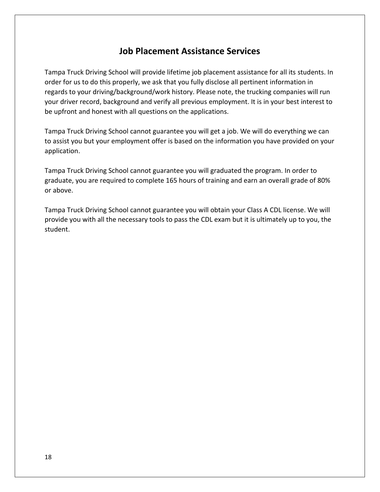#### **Job Placement Assistance Services**

Tampa Truck Driving School will provide lifetime job placement assistance for all its students. In order for us to do this properly, we ask that you fully disclose all pertinent information in regards to your driving/background/work history. Please note, the trucking companies will run your driver record, background and verify all previous employment. It is in your best interest to be upfront and honest with all questions on the applications.

Tampa Truck Driving School cannot guarantee you will get a job. We will do everything we can to assist you but your employment offer is based on the information you have provided on your application.

Tampa Truck Driving School cannot guarantee you will graduated the program. In order to graduate, you are required to complete 165 hours of training and earn an overall grade of 80% or above.

Tampa Truck Driving School cannot guarantee you will obtain your Class A CDL license. We will provide you with all the necessary tools to pass the CDL exam but it is ultimately up to you, the student.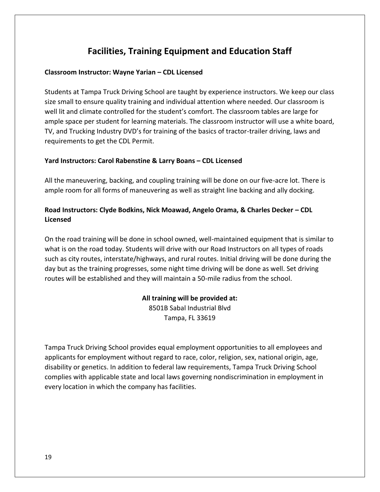## **Facilities, Training Equipment and Education Staff**

#### **Classroom Instructor: Wayne Yarian – CDL Licensed**

Students at Tampa Truck Driving School are taught by experience instructors. We keep our class size small to ensure quality training and individual attention where needed. Our classroom is well lit and climate controlled for the student's comfort. The classroom tables are large for ample space per student for learning materials. The classroom instructor will use a white board, TV, and Trucking Industry DVD's for training of the basics of tractor-trailer driving, laws and requirements to get the CDL Permit.

#### **Yard Instructors: Carol Rabenstine & Larry Boans – CDL Licensed**

All the maneuvering, backing, and coupling training will be done on our five-acre lot. There is ample room for all forms of maneuvering as well as straight line backing and ally docking.

#### **Road Instructors: Clyde Bodkins, Nick Moawad, Angelo Orama, & Charles Decker – CDL Licensed**

On the road training will be done in school owned, well-maintained equipment that is similar to what is on the road today. Students will drive with our Road Instructors on all types of roads such as city routes, interstate/highways, and rural routes. Initial driving will be done during the day but as the training progresses, some night time driving will be done as well. Set driving routes will be established and they will maintain a 50-mile radius from the school.

> **All training will be provided at:** 8501B Sabal Industrial Blvd Tampa, FL 33619

Tampa Truck Driving School provides equal employment opportunities to all employees and applicants for employment without regard to race, color, religion, sex, national origin, age, disability or genetics. In addition to federal law requirements, Tampa Truck Driving School complies with applicable state and local laws governing nondiscrimination in employment in every location in which the company has facilities.